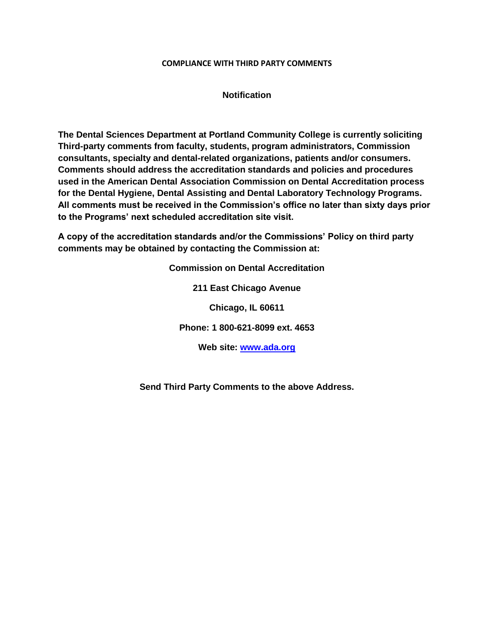## **COMPLIANCE WITH THIRD PARTY COMMENTS**

## **Notification**

**The Dental Sciences Department at Portland Community College is currently soliciting Third-party comments from faculty, students, program administrators, Commission consultants, specialty and dental-related organizations, patients and/or consumers. Comments should address the accreditation standards and policies and procedures used in the American Dental Association Commission on Dental Accreditation process for the Dental Hygiene, Dental Assisting and Dental Laboratory Technology Programs. All comments must be received in the Commission's office no later than sixty days prior to the Programs' next scheduled accreditation site visit.** 

**A copy of the accreditation standards and/or the Commissions' Policy on third party comments may be obtained by contacting the Commission at:**

> **Commission on Dental Accreditation 211 East Chicago Avenue Chicago, IL 60611 Phone: 1 800-621-8099 ext. 4653 Web site: [www.ada.org](http://www.ada.org/)**

**Send Third Party Comments to the above Address.**